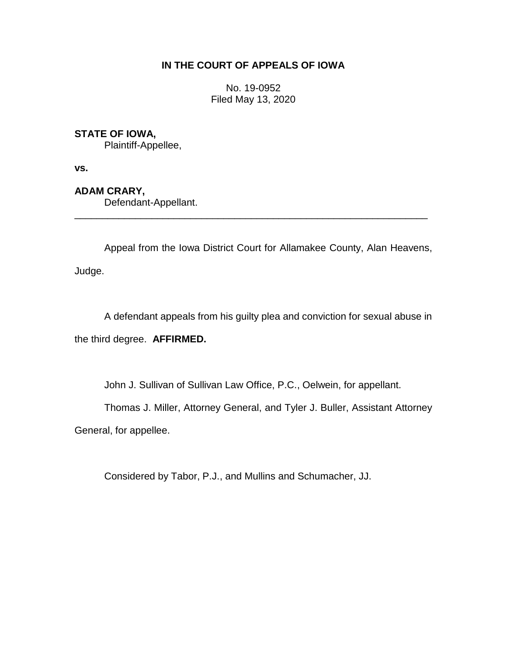## **IN THE COURT OF APPEALS OF IOWA**

No. 19-0952 Filed May 13, 2020

# **STATE OF IOWA,**

Plaintiff-Appellee,

**vs.**

# **ADAM CRARY,**

Defendant-Appellant.

Appeal from the Iowa District Court for Allamakee County, Alan Heavens, Judge.

\_\_\_\_\_\_\_\_\_\_\_\_\_\_\_\_\_\_\_\_\_\_\_\_\_\_\_\_\_\_\_\_\_\_\_\_\_\_\_\_\_\_\_\_\_\_\_\_\_\_\_\_\_\_\_\_\_\_\_\_\_\_\_\_

A defendant appeals from his guilty plea and conviction for sexual abuse in the third degree. **AFFIRMED.**

John J. Sullivan of Sullivan Law Office, P.C., Oelwein, for appellant.

Thomas J. Miller, Attorney General, and Tyler J. Buller, Assistant Attorney

General, for appellee.

Considered by Tabor, P.J., and Mullins and Schumacher, JJ.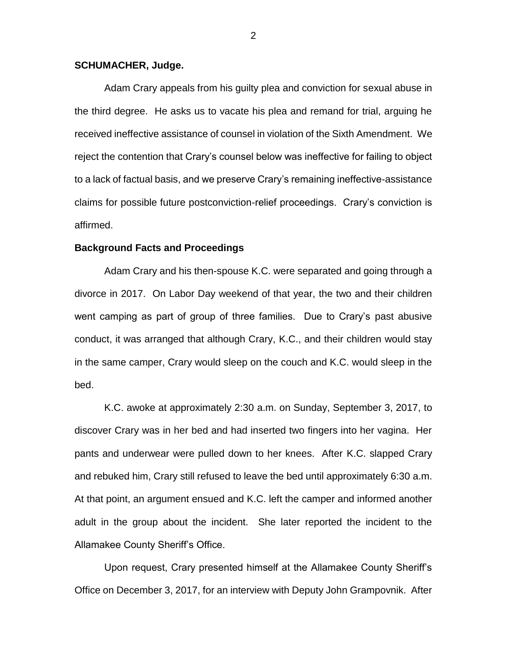### **SCHUMACHER, Judge.**

Adam Crary appeals from his guilty plea and conviction for sexual abuse in the third degree. He asks us to vacate his plea and remand for trial, arguing he received ineffective assistance of counsel in violation of the Sixth Amendment. We reject the contention that Crary's counsel below was ineffective for failing to object to a lack of factual basis, and we preserve Crary's remaining ineffective-assistance claims for possible future postconviction-relief proceedings. Crary's conviction is affirmed.

### **Background Facts and Proceedings**

Adam Crary and his then-spouse K.C. were separated and going through a divorce in 2017. On Labor Day weekend of that year, the two and their children went camping as part of group of three families. Due to Crary's past abusive conduct, it was arranged that although Crary, K.C., and their children would stay in the same camper, Crary would sleep on the couch and K.C. would sleep in the bed.

K.C. awoke at approximately 2:30 a.m. on Sunday, September 3, 2017, to discover Crary was in her bed and had inserted two fingers into her vagina. Her pants and underwear were pulled down to her knees. After K.C. slapped Crary and rebuked him, Crary still refused to leave the bed until approximately 6:30 a.m. At that point, an argument ensued and K.C. left the camper and informed another adult in the group about the incident. She later reported the incident to the Allamakee County Sheriff's Office.

Upon request, Crary presented himself at the Allamakee County Sheriff's Office on December 3, 2017, for an interview with Deputy John Grampovnik. After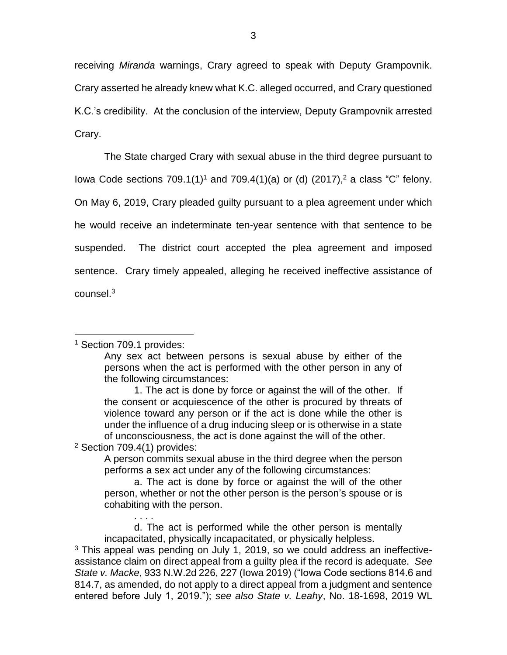receiving *Miranda* warnings, Crary agreed to speak with Deputy Grampovnik. Crary asserted he already knew what K.C. alleged occurred, and Crary questioned K.C.'s credibility. At the conclusion of the interview, Deputy Grampovnik arrested Crary.

The State charged Crary with sexual abuse in the third degree pursuant to lowa Code sections 709.1(1)<sup>1</sup> and 709.4(1)(a) or (d) (2017),<sup>2</sup> a class "C" felony. On May 6, 2019, Crary pleaded guilty pursuant to a plea agreement under which he would receive an indeterminate ten-year sentence with that sentence to be suspended. The district court accepted the plea agreement and imposed sentence. Crary timely appealed, alleging he received ineffective assistance of counsel.<sup>3</sup>

### <sup>1</sup> Section 709.1 provides:

 $\overline{a}$ 

Any sex act between persons is sexual abuse by either of the persons when the act is performed with the other person in any of the following circumstances:

<sup>2</sup> Section 709.4(1) provides:

. . . .

A person commits sexual abuse in the third degree when the person performs a sex act under any of the following circumstances:

a. The act is done by force or against the will of the other person, whether or not the other person is the person's spouse or is cohabiting with the person.

d. The act is performed while the other person is mentally incapacitated, physically incapacitated, or physically helpless.

<sup>3</sup> This appeal was pending on July 1, 2019, so we could address an ineffectiveassistance claim on direct appeal from a guilty plea if the record is adequate. *See State v. Macke*, 933 N.W.2d 226, 227 (Iowa 2019) ("Iowa Code sections 814.6 and 814.7, as amended, do not apply to a direct appeal from a judgment and sentence entered before July 1, 2019."); *see also State v. Leahy*, No. 18-1698, 2019 WL

<sup>1.</sup> The act is done by force or against the will of the other. If the consent or acquiescence of the other is procured by threats of violence toward any person or if the act is done while the other is under the influence of a drug inducing sleep or is otherwise in a state of unconsciousness, the act is done against the will of the other.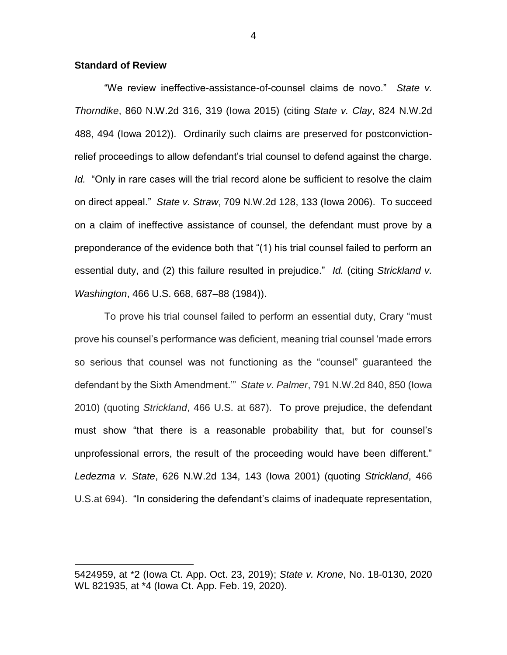### **Standard of Review**

 $\overline{a}$ 

"We review ineffective-assistance-of-counsel claims de novo." *State v. Thorndike*, 860 N.W.2d 316, 319 (Iowa 2015) (citing *State v. Clay*, 824 N.W.2d 488, 494 (Iowa 2012)). Ordinarily such claims are preserved for postconvictionrelief proceedings to allow defendant's trial counsel to defend against the charge. *Id.* "Only in rare cases will the trial record alone be sufficient to resolve the claim on direct appeal." *State v. Straw*, 709 N.W.2d 128, 133 (Iowa 2006). To succeed on a claim of ineffective assistance of counsel, the defendant must prove by a preponderance of the evidence both that "(1) his trial counsel failed to perform an essential duty, and (2) this failure resulted in prejudice." *Id.* (citing *Strickland v. Washington*, 466 U.S. 668, 687–88 (1984)).

To prove his trial counsel failed to perform an essential duty, Crary "must prove his counsel's performance was deficient, meaning trial counsel 'made errors so serious that counsel was not functioning as the "counsel" guaranteed the defendant by the Sixth Amendment.'" *State v. Palmer*, 791 N.W.2d 840, 850 (Iowa 2010) (quoting *Strickland*, 466 U.S. at 687). To prove prejudice, the defendant must show "that there is a reasonable probability that, but for counsel's unprofessional errors, the result of the proceeding would have been different." *Ledezma v. State*, 626 N.W.2d 134, 143 (Iowa 2001) (quoting *Strickland*, 466 U.S.at 694). "In considering the defendant's claims of inadequate representation,

<sup>5424959,</sup> at \*2 (Iowa Ct. App. Oct. 23, 2019); *State v. Krone*, No. 18-0130, 2020 WL 821935, at \*4 (Iowa Ct. App. Feb. 19, 2020).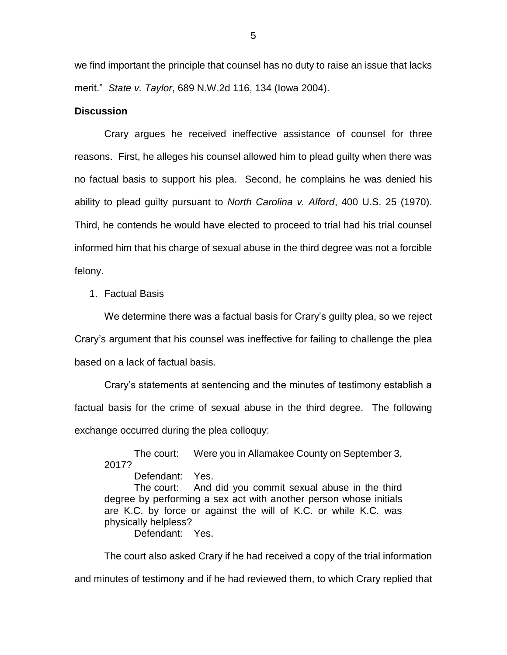we find important the principle that counsel has no duty to raise an issue that lacks merit." *State v. Taylor*, 689 N.W.2d 116, 134 (Iowa 2004).

#### **Discussion**

Crary argues he received ineffective assistance of counsel for three reasons. First, he alleges his counsel allowed him to plead guilty when there was no factual basis to support his plea. Second, he complains he was denied his ability to plead guilty pursuant to *North Carolina v. Alford*, 400 U.S. 25 (1970). Third, he contends he would have elected to proceed to trial had his trial counsel informed him that his charge of sexual abuse in the third degree was not a forcible felony.

1. Factual Basis

We determine there was a factual basis for Crary's guilty plea, so we reject Crary's argument that his counsel was ineffective for failing to challenge the plea based on a lack of factual basis.

Crary's statements at sentencing and the minutes of testimony establish a factual basis for the crime of sexual abuse in the third degree. The following exchange occurred during the plea colloquy:

The court: Were you in Allamakee County on September 3, 2017? Defendant: Yes.

The court: And did you commit sexual abuse in the third degree by performing a sex act with another person whose initials are K.C. by force or against the will of K.C. or while K.C. was physically helpless?

Defendant: Yes.

The court also asked Crary if he had received a copy of the trial information and minutes of testimony and if he had reviewed them, to which Crary replied that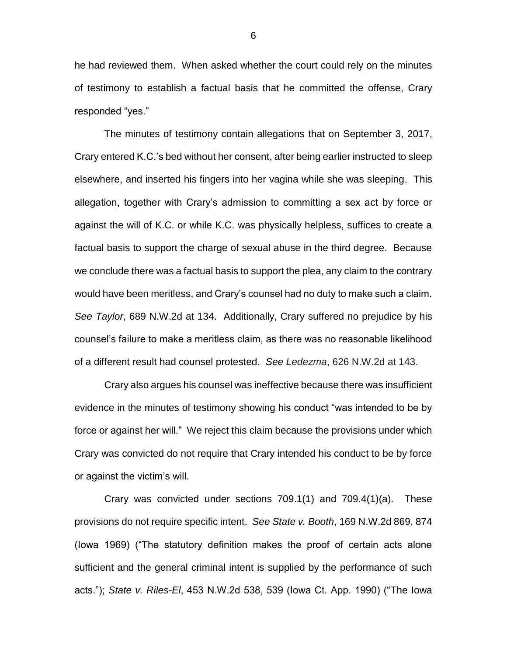he had reviewed them. When asked whether the court could rely on the minutes of testimony to establish a factual basis that he committed the offense, Crary responded "yes."

The minutes of testimony contain allegations that on September 3, 2017, Crary entered K.C.'s bed without her consent, after being earlier instructed to sleep elsewhere, and inserted his fingers into her vagina while she was sleeping. This allegation, together with Crary's admission to committing a sex act by force or against the will of K.C. or while K.C. was physically helpless, suffices to create a factual basis to support the charge of sexual abuse in the third degree. Because we conclude there was a factual basis to support the plea, any claim to the contrary would have been meritless, and Crary's counsel had no duty to make such a claim. *See Taylor*, 689 N.W.2d at 134. Additionally, Crary suffered no prejudice by his counsel's failure to make a meritless claim, as there was no reasonable likelihood of a different result had counsel protested. *See Ledezma*, 626 N.W.2d at 143.

Crary also argues his counsel was ineffective because there was insufficient evidence in the minutes of testimony showing his conduct "was intended to be by force or against her will." We reject this claim because the provisions under which Crary was convicted do not require that Crary intended his conduct to be by force or against the victim's will.

Crary was convicted under sections 709.1(1) and 709.4(1)(a). These provisions do not require specific intent. *See State v. Booth*, 169 N.W.2d 869, 874 (Iowa 1969) ("The statutory definition makes the proof of certain acts alone sufficient and the general criminal intent is supplied by the performance of such acts."); *State v. Riles-El*, 453 N.W.2d 538, 539 (Iowa Ct. App. 1990) ("The Iowa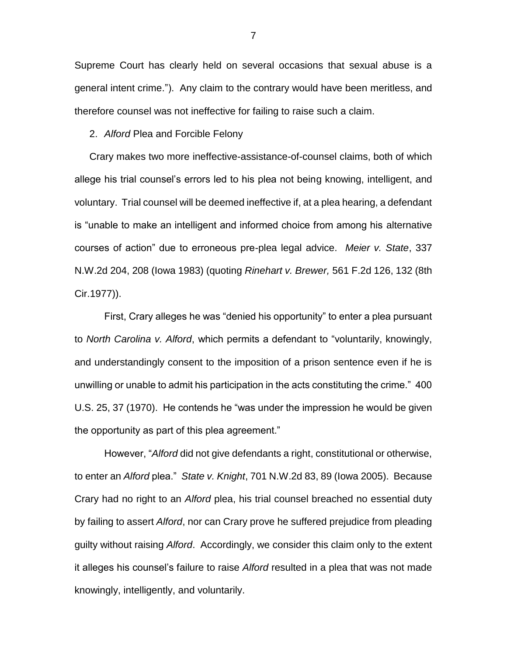Supreme Court has clearly held on several occasions that sexual abuse is a general intent crime."). Any claim to the contrary would have been meritless, and therefore counsel was not ineffective for failing to raise such a claim.

2. *Alford* Plea and Forcible Felony

Crary makes two more ineffective-assistance-of-counsel claims, both of which allege his trial counsel's errors led to his plea not being knowing, intelligent, and voluntary. Trial counsel will be deemed ineffective if, at a plea hearing, a defendant is "unable to make an intelligent and informed choice from among his alternative courses of action" due to erroneous pre-plea legal advice. *Meier v. State*, 337 N.W.2d 204, 208 (Iowa 1983) (quoting *Rinehart v. Brewer,* 561 F.2d 126, 132 (8th Cir.1977)).

First, Crary alleges he was "denied his opportunity" to enter a plea pursuant to *North Carolina v. Alford*, which permits a defendant to "voluntarily, knowingly, and understandingly consent to the imposition of a prison sentence even if he is unwilling or unable to admit his participation in the acts constituting the crime." 400 U.S. 25, 37 (1970). He contends he "was under the impression he would be given the opportunity as part of this plea agreement."

However, "*Alford* did not give defendants a right, constitutional or otherwise, to enter an *Alford* plea." *State v. Knight*, 701 N.W.2d 83, 89 (Iowa 2005). Because Crary had no right to an *Alford* plea, his trial counsel breached no essential duty by failing to assert *Alford*, nor can Crary prove he suffered prejudice from pleading guilty without raising *Alford*. Accordingly, we consider this claim only to the extent it alleges his counsel's failure to raise *Alford* resulted in a plea that was not made knowingly, intelligently, and voluntarily.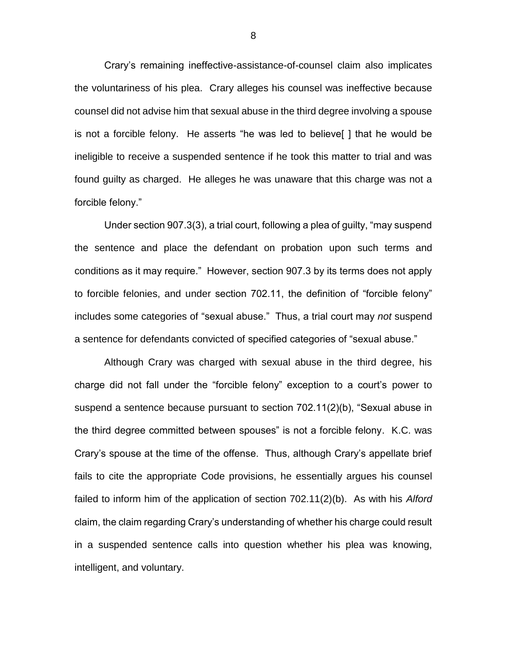Crary's remaining ineffective-assistance-of-counsel claim also implicates the voluntariness of his plea. Crary alleges his counsel was ineffective because counsel did not advise him that sexual abuse in the third degree involving a spouse is not a forcible felony. He asserts "he was led to believe[ ] that he would be ineligible to receive a suspended sentence if he took this matter to trial and was found guilty as charged. He alleges he was unaware that this charge was not a forcible felony."

Under section 907.3(3), a trial court, following a plea of guilty, "may suspend the sentence and place the defendant on probation upon such terms and conditions as it may require." However, section 907.3 by its terms does not apply to forcible felonies, and under section 702.11, the definition of "forcible felony" includes some categories of "sexual abuse." Thus, a trial court may *not* suspend a sentence for defendants convicted of specified categories of "sexual abuse."

Although Crary was charged with sexual abuse in the third degree, his charge did not fall under the "forcible felony" exception to a court's power to suspend a sentence because pursuant to section 702.11(2)(b), "Sexual abuse in the third degree committed between spouses" is not a forcible felony. K.C. was Crary's spouse at the time of the offense. Thus, although Crary's appellate brief fails to cite the appropriate Code provisions, he essentially argues his counsel failed to inform him of the application of section 702.11(2)(b). As with his *Alford*  claim, the claim regarding Crary's understanding of whether his charge could result in a suspended sentence calls into question whether his plea was knowing, intelligent, and voluntary.

8